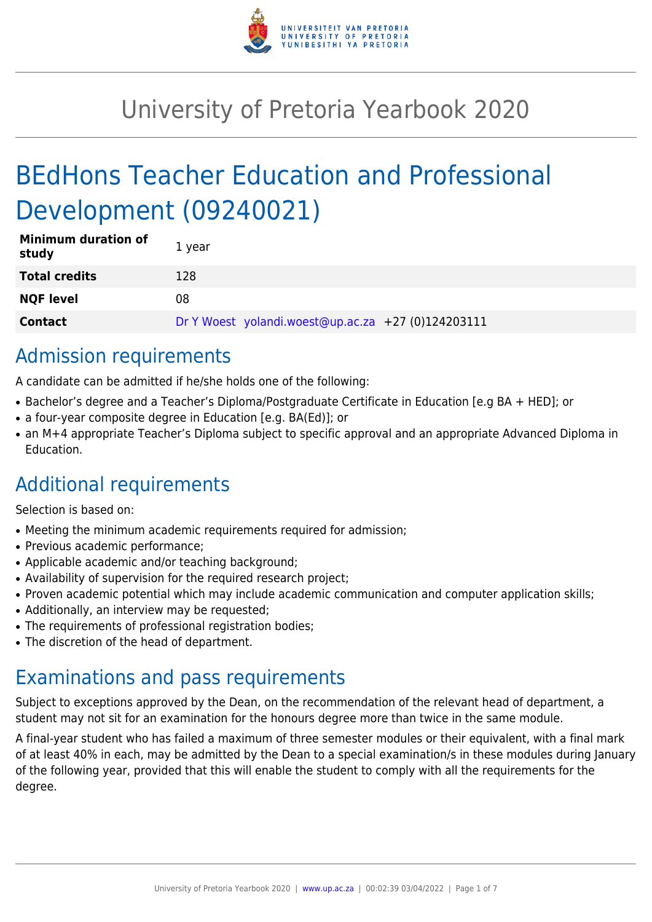

# University of Pretoria Yearbook 2020

# BEdHons Teacher Education and Professional Development (09240021)

| <b>Minimum duration of</b><br>study | 1 year                                             |
|-------------------------------------|----------------------------------------------------|
| <b>Total credits</b>                | 128                                                |
| <b>NQF level</b>                    | 08                                                 |
| <b>Contact</b>                      | Dr Y Woest yolandi.woest@up.ac.za +27 (0)124203111 |

# Admission requirements

A candidate can be admitted if he/she holds one of the following:

- Bachelor's degree and a Teacher's Diploma/Postgraduate Certificate in Education [e.g BA + HED]; or
- a four-year composite degree in Education [e.g. BA(Ed)]; or
- an M+4 appropriate Teacher's Diploma subject to specific approval and an appropriate Advanced Diploma in Education.

# Additional requirements

Selection is based on:

- Meeting the minimum academic requirements required for admission;
- Previous academic performance:
- Applicable academic and/or teaching background;
- Availability of supervision for the required research project;
- Proven academic potential which may include academic communication and computer application skills;
- Additionally, an interview may be requested;
- The requirements of professional registration bodies;
- The discretion of the head of department.

# Examinations and pass requirements

Subject to exceptions approved by the Dean, on the recommendation of the relevant head of department, a student may not sit for an examination for the honours degree more than twice in the same module.

A final-year student who has failed a maximum of three semester modules or their equivalent, with a final mark of at least 40% in each, may be admitted by the Dean to a special examination/s in these modules during January of the following year, provided that this will enable the student to comply with all the requirements for the degree.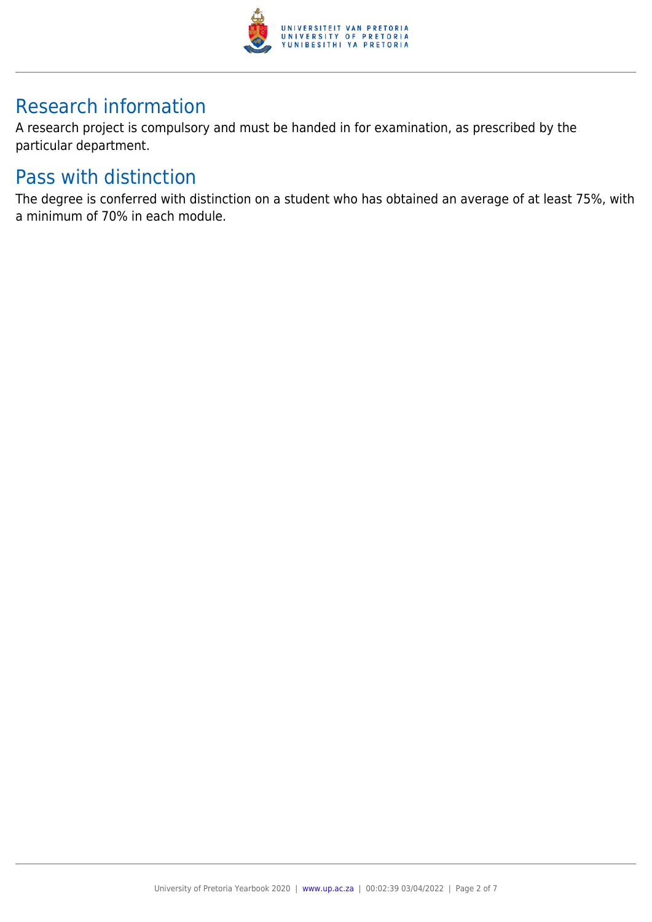

# Research information

A research project is compulsory and must be handed in for examination, as prescribed by the particular department.

# Pass with distinction

The degree is conferred with distinction on a student who has obtained an average of at least 75%, with a minimum of 70% in each module.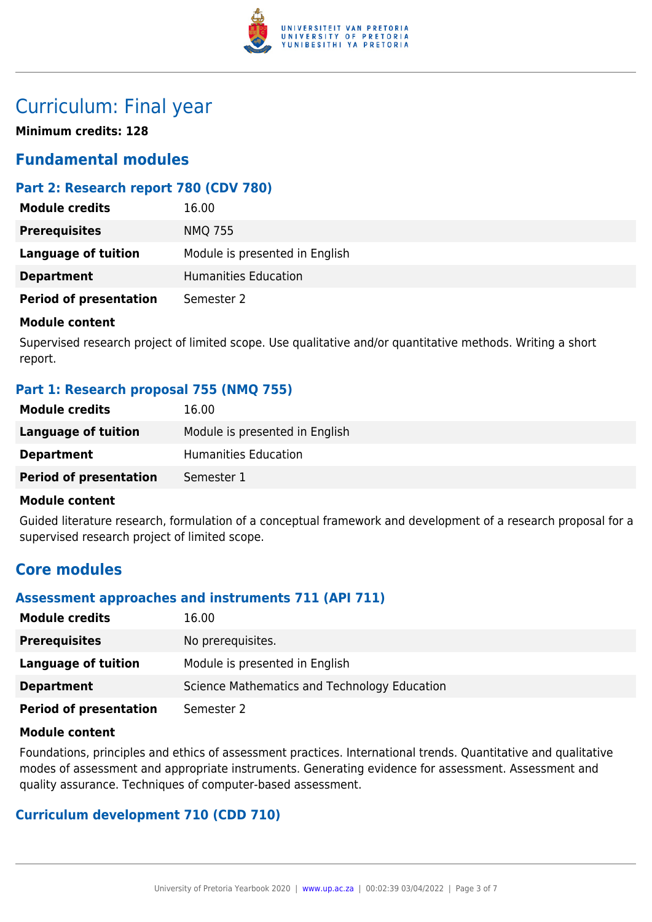

# Curriculum: Final year

**Minimum credits: 128**

# **Fundamental modules**

## **Part 2: Research report 780 (CDV 780)**

| <b>Module credits</b>         | 16.00                          |
|-------------------------------|--------------------------------|
| <b>Prerequisites</b>          | <b>NMQ 755</b>                 |
| Language of tuition           | Module is presented in English |
| <b>Department</b>             | Humanities Education           |
| <b>Period of presentation</b> | Semester 2                     |

#### **Module content**

Supervised research project of limited scope. Use qualitative and/or quantitative methods. Writing a short report.

### **Part 1: Research proposal 755 (NMQ 755)**

| <b>Module credits</b>         | 16.00                          |
|-------------------------------|--------------------------------|
| Language of tuition           | Module is presented in English |
| <b>Department</b>             | Humanities Education           |
| <b>Period of presentation</b> | Semester 1                     |

#### **Module content**

Guided literature research, formulation of a conceptual framework and development of a research proposal for a supervised research project of limited scope.

# **Core modules**

#### **Assessment approaches and instruments 711 (API 711)**

| <b>Module credits</b>         | 16.00                                        |
|-------------------------------|----------------------------------------------|
| <b>Prerequisites</b>          | No prerequisites.                            |
| Language of tuition           | Module is presented in English               |
| <b>Department</b>             | Science Mathematics and Technology Education |
| <b>Period of presentation</b> | Semester 2                                   |

#### **Module content**

Foundations, principles and ethics of assessment practices. International trends. Quantitative and qualitative modes of assessment and appropriate instruments. Generating evidence for assessment. Assessment and quality assurance. Techniques of computer-based assessment.

### **Curriculum development 710 (CDD 710)**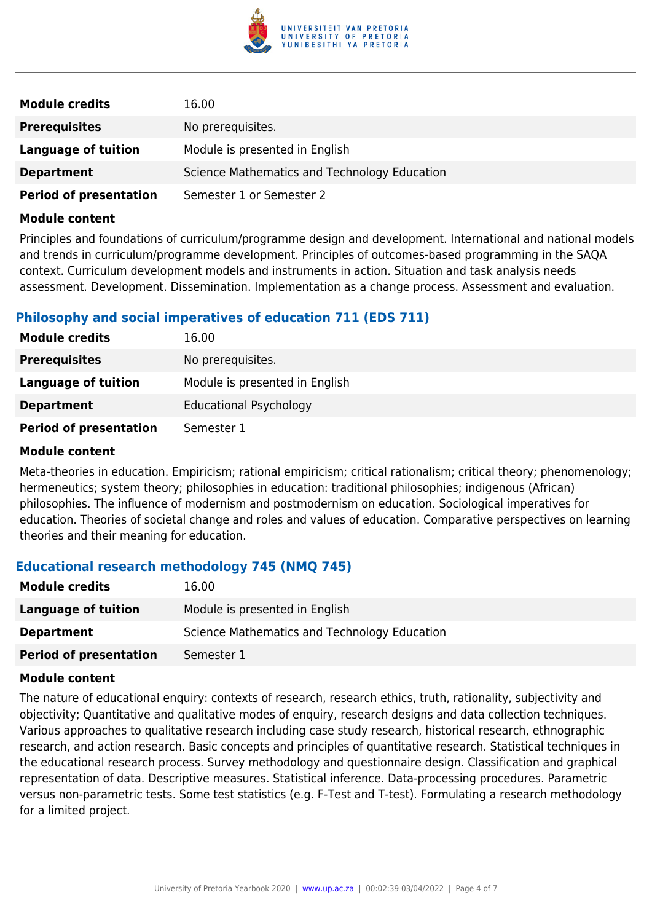

| <b>Module credits</b>         | 16.00                                        |
|-------------------------------|----------------------------------------------|
| <b>Prerequisites</b>          | No prerequisites.                            |
| Language of tuition           | Module is presented in English               |
| <b>Department</b>             | Science Mathematics and Technology Education |
| <b>Period of presentation</b> | Semester 1 or Semester 2                     |

#### **Module content**

Principles and foundations of curriculum/programme design and development. International and national models and trends in curriculum/programme development. Principles of outcomes-based programming in the SAQA context. Curriculum development models and instruments in action. Situation and task analysis needs assessment. Development. Dissemination. Implementation as a change process. Assessment and evaluation.

## **Philosophy and social imperatives of education 711 (EDS 711)**

| <b>Module credits</b>         | 16.00                          |
|-------------------------------|--------------------------------|
| <b>Prerequisites</b>          | No prerequisites.              |
| <b>Language of tuition</b>    | Module is presented in English |
| <b>Department</b>             | <b>Educational Psychology</b>  |
| <b>Period of presentation</b> | Semester 1                     |

#### **Module content**

Meta-theories in education. Empiricism; rational empiricism; critical rationalism; critical theory; phenomenology; hermeneutics; system theory; philosophies in education: traditional philosophies; indigenous (African) philosophies. The influence of modernism and postmodernism on education. Sociological imperatives for education. Theories of societal change and roles and values of education. Comparative perspectives on learning theories and their meaning for education.

#### **Educational research methodology 745 (NMQ 745)**

| <b>Module credits</b>         | 16.00                                        |
|-------------------------------|----------------------------------------------|
| Language of tuition           | Module is presented in English               |
| <b>Department</b>             | Science Mathematics and Technology Education |
| <b>Period of presentation</b> | Semester 1                                   |

#### **Module content**

The nature of educational enquiry: contexts of research, research ethics, truth, rationality, subjectivity and objectivity; Quantitative and qualitative modes of enquiry, research designs and data collection techniques. Various approaches to qualitative research including case study research, historical research, ethnographic research, and action research. Basic concepts and principles of quantitative research. Statistical techniques in the educational research process. Survey methodology and questionnaire design. Classification and graphical representation of data. Descriptive measures. Statistical inference. Data-processing procedures. Parametric versus non-parametric tests. Some test statistics (e.g. F-Test and T-test). Formulating a research methodology for a limited project.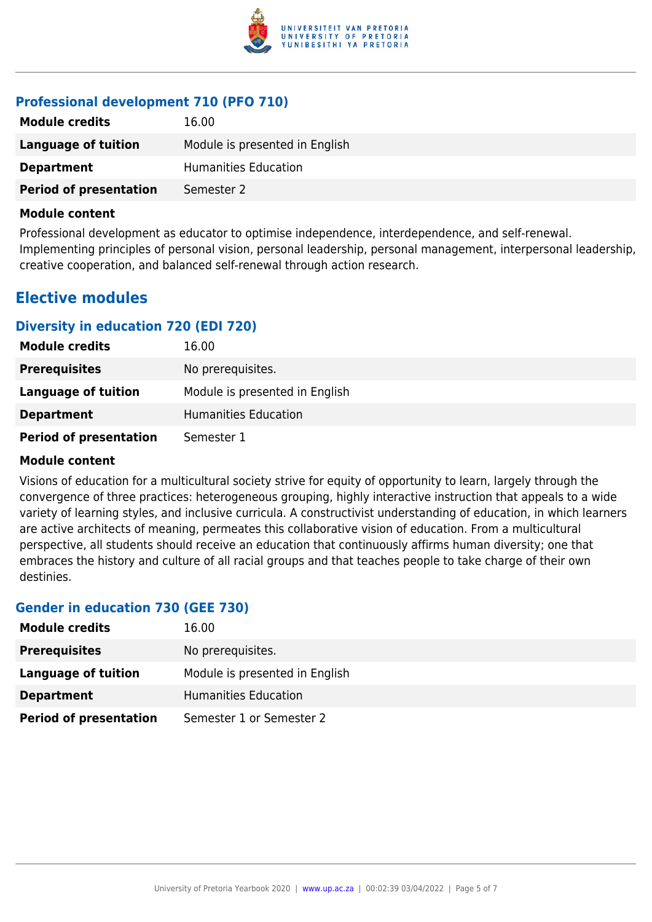

# **Professional development 710 (PFO 710)**

| <b>Module credits</b>         | 16.00                          |
|-------------------------------|--------------------------------|
| Language of tuition           | Module is presented in English |
| <b>Department</b>             | Humanities Education           |
| <b>Period of presentation</b> | Semester 2                     |

#### **Module content**

Professional development as educator to optimise independence, interdependence, and self-renewal. Implementing principles of personal vision, personal leadership, personal management, interpersonal leadership, creative cooperation, and balanced self-renewal through action research.

# **Elective modules**

### **Diversity in education 720 (EDI 720)**

| <b>Module credits</b>         | 16.00                          |
|-------------------------------|--------------------------------|
| <b>Prerequisites</b>          | No prerequisites.              |
| Language of tuition           | Module is presented in English |
| <b>Department</b>             | Humanities Education           |
| <b>Period of presentation</b> | Semester 1                     |

#### **Module content**

Visions of education for a multicultural society strive for equity of opportunity to learn, largely through the convergence of three practices: heterogeneous grouping, highly interactive instruction that appeals to a wide variety of learning styles, and inclusive curricula. A constructivist understanding of education, in which learners are active architects of meaning, permeates this collaborative vision of education. From a multicultural perspective, all students should receive an education that continuously affirms human diversity; one that embraces the history and culture of all racial groups and that teaches people to take charge of their own destinies.

### **Gender in education 730 (GEE 730)**

| <b>Module credits</b>         | 16.00                          |
|-------------------------------|--------------------------------|
| <b>Prerequisites</b>          | No prerequisites.              |
| Language of tuition           | Module is presented in English |
| <b>Department</b>             | Humanities Education           |
| <b>Period of presentation</b> | Semester 1 or Semester 2       |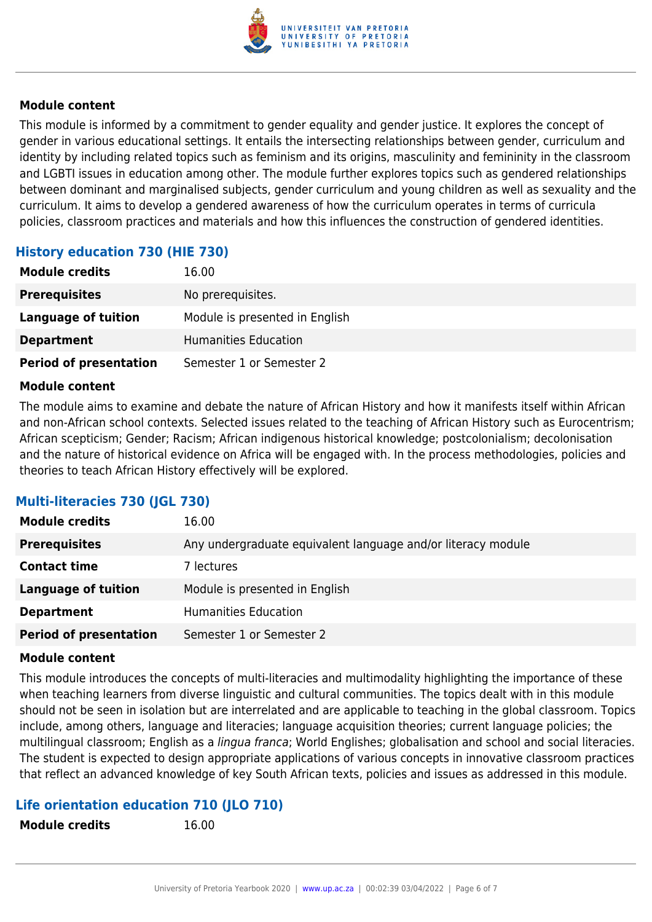

#### **Module content**

This module is informed by a commitment to gender equality and gender justice. It explores the concept of gender in various educational settings. It entails the intersecting relationships between gender, curriculum and identity by including related topics such as feminism and its origins, masculinity and femininity in the classroom and LGBTI issues in education among other. The module further explores topics such as gendered relationships between dominant and marginalised subjects, gender curriculum and young children as well as sexuality and the curriculum. It aims to develop a gendered awareness of how the curriculum operates in terms of curricula policies, classroom practices and materials and how this influences the construction of gendered identities.

# **History education 730 (HIE 730)**

| <b>Module credits</b>         | 16.00                          |
|-------------------------------|--------------------------------|
| <b>Prerequisites</b>          | No prerequisites.              |
| Language of tuition           | Module is presented in English |
| <b>Department</b>             | Humanities Education           |
| <b>Period of presentation</b> | Semester 1 or Semester 2       |

#### **Module content**

The module aims to examine and debate the nature of African History and how it manifests itself within African and non-African school contexts. Selected issues related to the teaching of African History such as Eurocentrism; African scepticism; Gender; Racism; African indigenous historical knowledge; postcolonialism; decolonisation and the nature of historical evidence on Africa will be engaged with. In the process methodologies, policies and theories to teach African History effectively will be explored.

### **Multi-literacies 730 (JGL 730)**

| <b>Module credits</b>         | 16.00                                                        |
|-------------------------------|--------------------------------------------------------------|
| <b>Prerequisites</b>          | Any undergraduate equivalent language and/or literacy module |
| <b>Contact time</b>           | 7 lectures                                                   |
| <b>Language of tuition</b>    | Module is presented in English                               |
| <b>Department</b>             | <b>Humanities Education</b>                                  |
| <b>Period of presentation</b> | Semester 1 or Semester 2                                     |

#### **Module content**

This module introduces the concepts of multi-literacies and multimodality highlighting the importance of these when teaching learners from diverse linguistic and cultural communities. The topics dealt with in this module should not be seen in isolation but are interrelated and are applicable to teaching in the global classroom. Topics include, among others, language and literacies; language acquisition theories; current language policies; the multilingual classroom; English as a lingua franca; World Englishes; globalisation and school and social literacies. The student is expected to design appropriate applications of various concepts in innovative classroom practices that reflect an advanced knowledge of key South African texts, policies and issues as addressed in this module.

# **Life orientation education 710 (JLO 710)**

**Module credits** 16.00